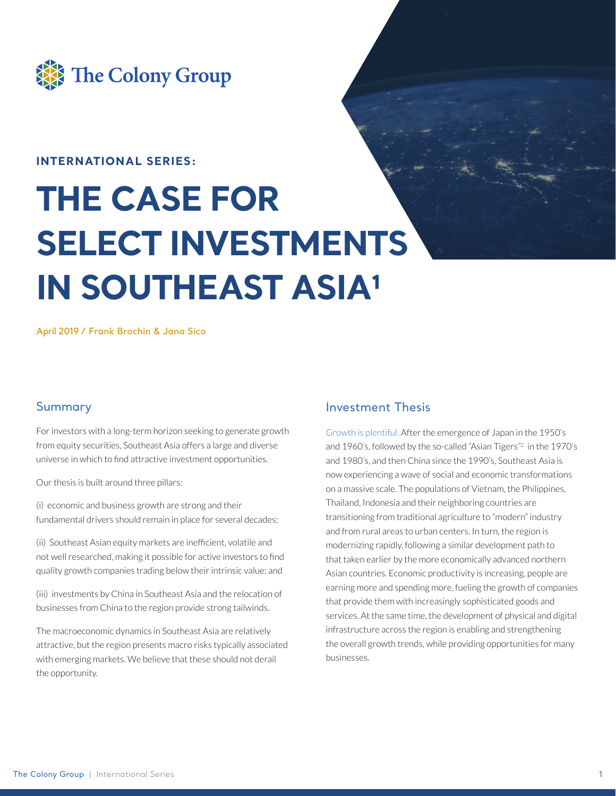

## **INTERNATIONAL SERIES:**

# **THE CASE FOR SELECT INVESTMENTS IN SOUTHEAST ASIA1**

**April 2019 / Frank Brochin & Jana Sico**

### Summary

For investors with a long-term horizon seeking to generate growth from equity securities, Southeast Asia offers a large and diverse universe in which to find attractive investment opportunities.

Our thesis is built around three pillars:

(i) economic and business growth are strong and their fundamental drivers should remain in place for several decades;

(ii) Southeast Asian equity markets are inefficient, volatile and not well researched, making it possible for active investors to find quality growth companies trading below their intrinsic value; and

(iii) investments by China in Southeast Asia and the relocation of businesses from China to the region provide strong tailwinds.

The macroeconomic dynamics in Southeast Asia are relatively attractive, but the region presents macro risks typically associated with emerging markets. We believe that these should not derail the opportunity.

## Investment Thesis

Growth is plentiful. After the emergence of Japan in the 1950's and 1960's, followed by the so-called "Asian Tigers"2 in the 1970's and 1980's, and then China since the 1990's, Southeast Asia is now experiencing a wave of social and economic transformations on a massive scale. The populations of Vietnam, the Philippines, Thailand, Indonesia and their neighboring countries are transitioning from traditional agriculture to "modern" industry and from rural areas to urban centers. In turn, the region is modernizing rapidly, following a similar development path to that taken earlier by the more economically advanced northern Asian countries. Economic productivity is increasing, people are earning more and spending more, fueling the growth of companies that provide them with increasingly sophisticated goods and services. At the same time, the development of physical and digital infrastructure across the region is enabling and strengthening the overall growth trends, while providing opportunities for many businesses.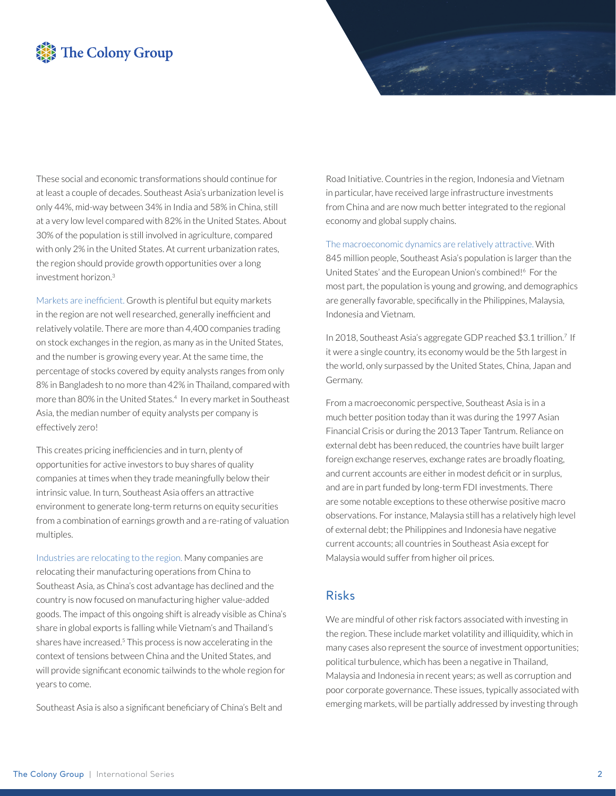# The Colony Group

These social and economic transformations should continue for at least a couple of decades. Southeast Asia's urbanization level is only 44%, mid-way between 34% in India and 58% in China, still at a very low level compared with 82% in the United States. About 30% of the population is still involved in agriculture, compared with only 2% in the United States. At current urbanization rates, the region should provide growth opportunities over a long investment horizon.3

Markets are inefficient. Growth is plentiful but equity markets in the region are not well researched, generally inefficient and relatively volatile. There are more than 4,400 companies trading on stock exchanges in the region, as many as in the United States, and the number is growing every year. At the same time, the percentage of stocks covered by equity analysts ranges from only 8% in Bangladesh to no more than 42% in Thailand, compared with more than 80% in the United States.4 In every market in Southeast Asia, the median number of equity analysts per company is effectively zero!

This creates pricing inefficiencies and in turn, plenty of opportunities for active investors to buy shares of quality companies at times when they trade meaningfully below their intrinsic value. In turn, Southeast Asia offers an attractive environment to generate long-term returns on equity securities from a combination of earnings growth and a re-rating of valuation multiples.

Industries are relocating to the region. Many companies are relocating their manufacturing operations from China to Southeast Asia, as China's cost advantage has declined and the country is now focused on manufacturing higher value-added goods. The impact of this ongoing shift is already visible as China's share in global exports is falling while Vietnam's and Thailand's shares have increased.5 This process is now accelerating in the context of tensions between China and the United States, and will provide significant economic tailwinds to the whole region for years to come.

Southeast Asia is also a significant beneficiary of China's Belt and

Road Initiative. Countries in the region, Indonesia and Vietnam in particular, have received large infrastructure investments from China and are now much better integrated to the regional economy and global supply chains.

The macroeconomic dynamics are relatively attractive. With 845 million people, Southeast Asia's population is larger than the United States' and the European Union's combined!6 For the most part, the population is young and growing, and demographics are generally favorable, specifically in the Philippines, Malaysia,

In 2018, Southeast Asia's aggregate GDP reached \$3.1 trillion.7 If it were a single country, its economy would be the 5th largest in the world, only surpassed by the United States, China, Japan and Germany.

From a macroeconomic perspective, Southeast Asia is in a much better position today than it was during the 1997 Asian Financial Crisis or during the 2013 Taper Tantrum. Reliance on external debt has been reduced, the countries have built larger foreign exchange reserves, exchange rates are broadly floating, and current accounts are either in modest deficit or in surplus, and are in part funded by long-term FDI investments. There are some notable exceptions to these otherwise positive macro observations. For instance, Malaysia still has a relatively high level of external debt; the Philippines and Indonesia have negative current accounts; all countries in Southeast Asia except for Malaysia would suffer from higher oil prices.

### Risks

Indonesia and Vietnam.

We are mindful of other risk factors associated with investing in the region. These include market volatility and illiquidity, which in many cases also represent the source of investment opportunities; political turbulence, which has been a negative in Thailand, Malaysia and Indonesia in recent years; as well as corruption and poor corporate governance. These issues, typically associated with emerging markets, will be partially addressed by investing through